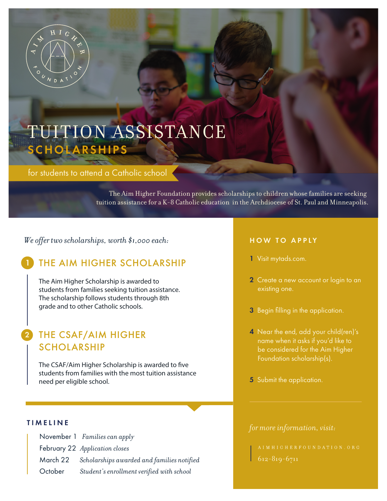

# TUITION ASSISTANCE SCHOLARSHIPS

for students to attend a Catholic school

The Aim Higher Foundation provides scholarships to children whose families are seeking tuition assistance for a K-8 Catholic education in the Archdiocese of St. Paul and Minneapolis.

*We offer two scholarships, worth \$1,000 each:*

# THE AIM HIGHER SCHOLARSHIP

The Aim Higher Scholarship is awarded to students from families seeking tuition assistance. The scholarship follows students through 8th grade and to other Catholic schools.

## 2 THE CSAF/AIM HIGHER SCHOLARSHIP

The CSAF/Aim Higher Scholarship is awarded to five students from families with the most tuition assistance need per eligible school.

|         | November 1 Families can apply                       |
|---------|-----------------------------------------------------|
|         | February 22 Application closes                      |
|         | March 22 Scholarships awarded and families notified |
| October | Student's enrollment verified with school           |

#### HOW TO APPLY

- 1 Visit mytads.com.
- 2 Create a new account or login to an
- 3 Begin filling in the application.
- 4 Near the end, add your child(ren)'s name when it asks if you'd like to be considered for the Aim Higher Foundation scholarship(s).
- 5 Submit the application.

# *for more information, visit:* TIMELINE